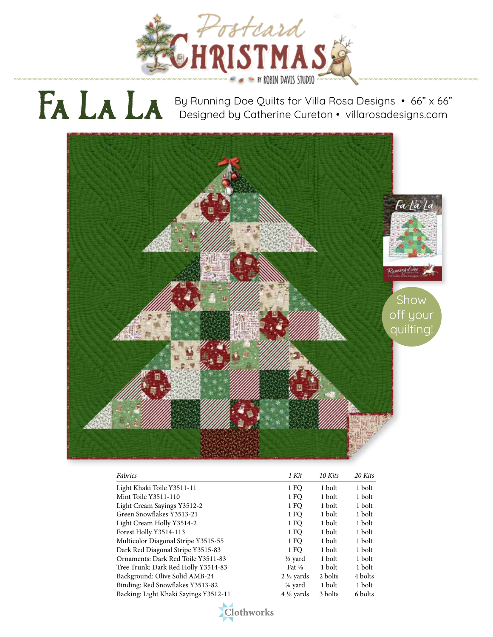

## By Running Doe Quilts for Villa Rosa Designs • 66" x 66" Designed by Catherine Cureton • villarosadesigns.com Fa La La



| Fabrics                               | 1 Kit                | 10 Kits | 20 Kits |
|---------------------------------------|----------------------|---------|---------|
| Light Khaki Toile Y3511-11            | 1 FO                 | 1 bolt  | 1 bolt  |
| Mint Toile Y3511-110                  | 1 FO                 | 1 bolt  | 1 bolt  |
| Light Cream Sayings Y3512-2           | 1 FO                 | 1 bolt  | 1 bolt  |
| Green Snowflakes Y3513-21             | 1 FO                 | 1 bolt  | 1 bolt  |
| Light Cream Holly Y3514-2             | 1 FO                 | 1 bolt  | 1 bolt  |
| Forest Holly Y3514-113                | 1 FO                 | 1 bolt  | 1 bolt  |
| Multicolor Diagonal Stripe Y3515-55   | 1 FO                 | 1 bolt  | 1 bolt  |
| Dark Red Diagonal Stripe Y3515-83     | 1 FO                 | 1 bolt  | 1 bolt  |
| Ornaments: Dark Red Toile Y3511-83    | $\frac{1}{2}$ yard   | 1 bolt  | 1 bolt  |
| Tree Trunk: Dark Red Holly Y3514-83   | Fat $\frac{1}{8}$    | 1 bolt  | 1 bolt  |
| Background: Olive Solid AMB-24        | $2\frac{1}{2}$ yards | 2 bolts | 4 bolts |
| Binding: Red Snowflakes Y3513-82      | % yard               | 1 bolt  | 1 bolt  |
| Backing: Light Khaki Sayings Y3512-11 | $4\frac{1}{8}$ vards | 3 bolts | 6 bolts |